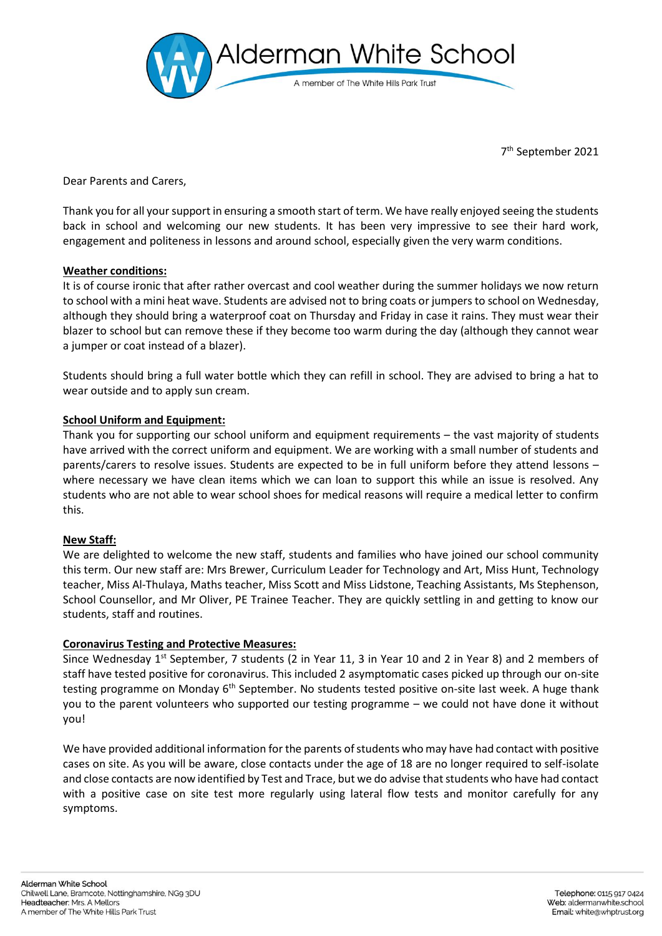

7 th September 2021

Dear Parents and Carers,

Thank you for all your support in ensuring a smooth start of term. We have really enjoyed seeing the students back in school and welcoming our new students. It has been very impressive to see their hard work, engagement and politeness in lessons and around school, especially given the very warm conditions.

# **Weather conditions:**

It is of course ironic that after rather overcast and cool weather during the summer holidays we now return to school with a mini heat wave. Students are advised not to bring coats or jumpers to school on Wednesday, although they should bring a waterproof coat on Thursday and Friday in case it rains. They must wear their blazer to school but can remove these if they become too warm during the day (although they cannot wear a jumper or coat instead of a blazer).

Students should bring a full water bottle which they can refill in school. They are advised to bring a hat to wear outside and to apply sun cream.

# **School Uniform and Equipment:**

Thank you for supporting our school uniform and equipment requirements – the vast majority of students have arrived with the correct uniform and equipment. We are working with a small number of students and parents/carers to resolve issues. Students are expected to be in full uniform before they attend lessons – where necessary we have clean items which we can loan to support this while an issue is resolved. Any students who are not able to wear school shoes for medical reasons will require a medical letter to confirm this.

## **New Staff:**

We are delighted to welcome the new staff, students and families who have joined our school community this term. Our new staff are: Mrs Brewer, Curriculum Leader for Technology and Art, Miss Hunt, Technology teacher, Miss Al-Thulaya, Maths teacher, Miss Scott and Miss Lidstone, Teaching Assistants, Ms Stephenson, School Counsellor, and Mr Oliver, PE Trainee Teacher. They are quickly settling in and getting to know our students, staff and routines.

## **Coronavirus Testing and Protective Measures:**

Since Wednesday  $1^{st}$  September, 7 students (2 in Year 11, 3 in Year 10 and 2 in Year 8) and 2 members of staff have tested positive for coronavirus. This included 2 asymptomatic cases picked up through our on-site testing programme on Monday 6<sup>th</sup> September. No students tested positive on-site last week. A huge thank you to the parent volunteers who supported our testing programme – we could not have done it without you!

We have provided additional information for the parents of students who may have had contact with positive cases on site. As you will be aware, close contacts under the age of 18 are no longer required to self-isolate and close contacts are now identified by Test and Trace, but we do advise that students who have had contact with a positive case on site test more regularly using lateral flow tests and monitor carefully for any symptoms.